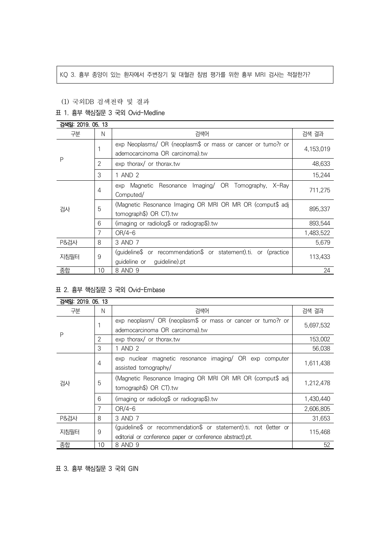## KQ 3. 흉부 종양이 있는 환자에서 주변장기 및 대혈관 침범 평가를 위한 흉부 MRI 검사는 적절한가?

## (1) 국외DB 검색전략 및 결과

# 표 1. 흉부 핵심질문 3 국외 Ovid-Medline

| 검색일: 2019. 05. 13 |                |                                                                 |           |  |
|-------------------|----------------|-----------------------------------------------------------------|-----------|--|
| 구분                | N              | 검색어                                                             | 검색 결과     |  |
| P                 |                | exp Neoplasms/ OR (neoplasm\$ or mass or cancer or tumo?r or    | 4,153,019 |  |
|                   |                | ademocarcinoma OR carcinoma).tw                                 |           |  |
|                   | $\overline{2}$ | $\exp$ thorax/ or thorax.tw                                     | 48.633    |  |
|                   | 3              | 1 AND 2                                                         | 15,244    |  |
| 검사                | $\overline{4}$ | Magnetic Resonance Imaging/ OR Tomography,<br>X-Ray<br>exp      |           |  |
|                   |                | Computed/                                                       | 711,275   |  |
|                   | 5              | (Magnetic Resonance Imaging OR MRI OR MR OR (comput\$ adj       | 895,337   |  |
|                   |                | tomograph\$) OR CT).tw                                          |           |  |
|                   | 6              | (imaging or radiolog\$ or radiograp\$).tw                       | 893.544   |  |
|                   | 7              | $OR/4-6$                                                        | 1,483,522 |  |
| P&검사              | 8              | 3 AND 7                                                         | 5,679     |  |
| 지침필터              | 9              | (guideline\$ or recommendation\$ or statement).ti. or (practice | 113,433   |  |
|                   |                | guideline).pt<br>quideline or                                   |           |  |
| 종합                | 10             | 8 AND 9                                                         | 24        |  |

# 표 2. 흉부 핵심질문 3 국외 Ovid-Embase

| 검색일: 2019. 05. 13 |               |                                                                   |           |  |
|-------------------|---------------|-------------------------------------------------------------------|-----------|--|
| 구분                | N             | 검색어                                                               | 검색 결과     |  |
| Ρ                 |               | exp neoplasm/ OR (neoplasm\$ or mass or cancer or tumo?r or       | 5,697,532 |  |
|                   |               | ademocarcinoma OR carcinoma).tw                                   |           |  |
|                   | $\mathcal{P}$ | $\exp$ thorax/ or thorax.tw                                       | 153,002   |  |
|                   | 3             | 1 AND 2                                                           | 56,038    |  |
| 검사                | 4             | exp nuclear magnetic resonance imaging/ OR exp computer           | 1,611,438 |  |
|                   |               | assisted tomography/                                              |           |  |
|                   | 5             | (Magnetic Resonance Imaging OR MRI OR MR OR (comput\$ adj         |           |  |
|                   |               | tomograph\$) OR CT).tw                                            | 1,212,478 |  |
|                   | 6             | (imaging or radiolog\$ or radiograp\$).tw                         | 1,430,440 |  |
|                   | 7             | $OR/4-6$                                                          | 2,606,805 |  |
| <b>P&amp;검사</b>   | 8             | 3 AND 7                                                           | 31,653    |  |
| 지침필터              | 9             | (guideline\$ or recommendation\$ or statement).ti. not (letter or | 115,468   |  |
|                   |               | editorial or conference paper or conference abstract).pt.         |           |  |
| 종합                | 10            | 8 AND 9                                                           | 52        |  |

표 3. 흉부 핵심질문 3 국외 GIN